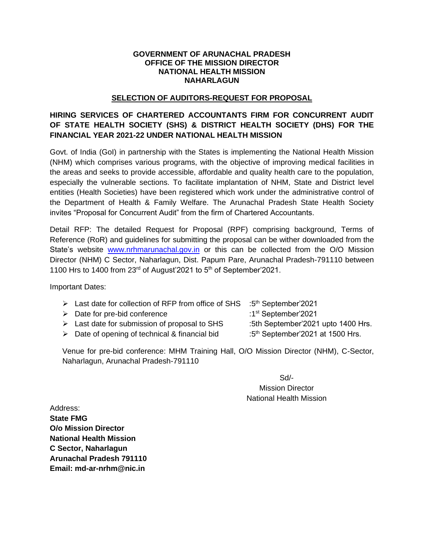#### **GOVERNMENT OF ARUNACHAL PRADESH OFFICE OF THE MISSION DIRECTOR NATIONAL HEALTH MISSION NAHARLAGUN**

#### **SELECTION OF AUDITORS-REQUEST FOR PROPOSAL**

## **HIRING SERVICES OF CHARTERED ACCOUNTANTS FIRM FOR CONCURRENT AUDIT OF STATE HEALTH SOCIETY (SHS) & DISTRICT HEALTH SOCIETY (DHS) FOR THE FINANCIAL YEAR 2021-22 UNDER NATIONAL HEALTH MISSION**

Govt. of India (GoI) in partnership with the States is implementing the National Health Mission (NHM) which comprises various programs, with the objective of improving medical facilities in the areas and seeks to provide accessible, affordable and quality health care to the population, especially the vulnerable sections. To facilitate implantation of NHM, State and District level entities (Health Societies) have been registered which work under the administrative control of the Department of Health & Family Welfare. The Arunachal Pradesh State Health Society invites "Proposal for Concurrent Audit" from the firm of Chartered Accountants.

Detail RFP: The detailed Request for Proposal (RPF) comprising background, Terms of Reference (RoR) and guidelines for submitting the proposal can be wither downloaded from the State's website [www.nrhmarunachal.gov.in](http://www.nrhmarunachal.gov.in/) or this can be collected from the O/O Mission Director (NHM) C Sector, Naharlagun, Dist. Papum Pare, Arunachal Pradesh-791110 between 1100 Hrs to 1400 from 23rd of August'2021 to 5th of September'2021.

Important Dates:

- $\triangleright$  Last date for collection of RFP from office of SHS :  $5<sup>th</sup>$  September'2021
- $\triangleright$  Date for pre-bid conference  $\triangleright$  :1st September'2021
- $\triangleright$  Last date for submission of proposal to SHS :5th September' 2021 upto 1400 Hrs.
- $\triangleright$  Date of opening of technical & financial bid
- 
- 
- : $5<sup>th</sup>$  September'2021 at 1500 Hrs.

Venue for pre-bid conference: MHM Training Hall, O/O Mission Director (NHM), C-Sector, Naharlagun, Arunachal Pradesh-791110

> Sd/- Mission Director National Health Mission

Address: **State FMG O/o Mission Director National Health Mission C Sector, Naharlagun Arunachal Pradesh 791110 Email: md-ar-nrhm@nic.in**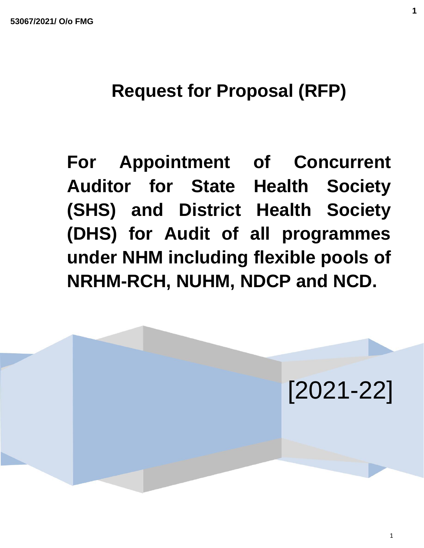# **Request for Proposal (RFP)**

**For Appointment of Concurrent Auditor for State Health Society (SHS) and District Health Society (DHS) for Audit of all programmes under NHM including flexible pools of NRHM-RCH, NUHM, NDCP and NCD.**



**1**

1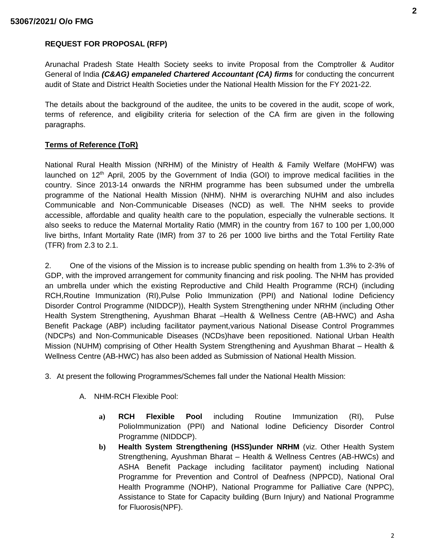## **REQUEST FOR PROPOSAL (RFP)**

Arunachal Pradesh State Health Society seeks to invite Proposal from the Comptroller & Auditor General of India *(C&AG) empaneled Chartered Accountant (CA) firms* for conducting the concurrent audit of State and District Health Societies under the National Health Mission for the FY 2021-22.

The details about the background of the auditee, the units to be covered in the audit, scope of work, terms of reference, and eligibility criteria for selection of the CA firm are given in the following paragraphs.

## **Terms of Reference (ToR)**

National Rural Health Mission (NRHM) of the Ministry of Health & Family Welfare (MoHFW) was launched on  $12<sup>th</sup>$  April, 2005 by the Government of India (GOI) to improve medical facilities in the country. Since 2013-14 onwards the NRHM programme has been subsumed under the umbrella programme of the National Health Mission (NHM). NHM is overarching NUHM and also includes Communicable and Non-Communicable Diseases (NCD) as well. The NHM seeks to provide accessible, affordable and quality health care to the population, especially the vulnerable sections. It also seeks to reduce the Maternal Mortality Ratio (MMR) in the country from 167 to 100 per 1,00,000 live births, Infant Mortality Rate (IMR) from 37 to 26 per 1000 live births and the Total Fertility Rate (TFR) from 2.3 to 2.1.

2. One of the visions of the Mission is to increase public spending on health from 1.3% to 2-3% of GDP, with the improved arrangement for community financing and risk pooling. The NHM has provided an umbrella under which the existing Reproductive and Child Health Programme (RCH) (including RCH,Routine Immunization (RI),Pulse Polio Immunization (PPI) and National Iodine Deficiency Disorder Control Programme (NIDDCP)), Health System Strengthening under NRHM (including Other Health System Strengthening, Ayushman Bharat –Health & Wellness Centre (AB-HWC) and Asha Benefit Package (ABP) including facilitator payment,various National Disease Control Programmes (NDCPs) and Non-Communicable Diseases (NCDs)have been repositioned. National Urban Health Mission (NUHM) comprising of Other Health System Strengthening and Ayushman Bharat – Health & Wellness Centre (AB-HWC) has also been added as Submission of National Health Mission.

- 3. At present the following Programmes/Schemes fall under the National Health Mission:
	- A. NHM-RCH Flexible Pool:
		- **a) RCH Flexible Pool** including Routine Immunization (RI), Pulse PolioImmunization (PPI) and National Iodine Deficiency Disorder Control Programme (NIDDCP).
		- **b) Health System Strengthening (HSS)under NRHM** (viz. Other Health System Strengthening, Ayushman Bharat – Health & Wellness Centres (AB-HWCs) and ASHA Benefit Package including facilitator payment) including National Programme for Prevention and Control of Deafness (NPPCD), National Oral Health Programme (NOHP), National Programme for Palliative Care (NPPC), Assistance to State for Capacity building (Burn Injury) and National Programme for Fluorosis(NPF).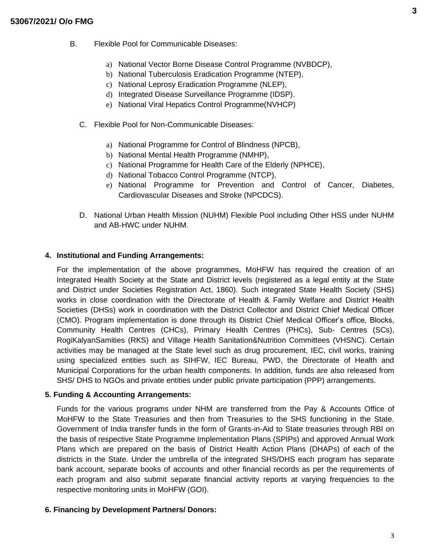- B. Flexible Pool for Communicable Diseases:
	- a) National Vector Borne Disease Control Programme (NVBDCP),
	- b) National Tuberculosis Eradication Programme (NTEP),
	- c) National Leprosy Eradication Programme (NLEP),
	- d) Integrated Disease Surveillance Programme (IDSP).
	- e) National Viral Hepatics Control Programme(NVHCP)
	- C. Flexible Pool for Non-Communicable Diseases:
		- a) National Programme for Control of Blindness (NPCB),
		- b) National Mental Health Programme (NMHP),
		- c) National Programme for Health Care of the Elderly (NPHCE),
		- d) National Tobacco Control Programme (NTCP),
		- e) National Programme for Prevention and Control of Cancer, Diabetes, Cardiovascular Diseases and Stroke (NPCDCS).
	- D. National Urban Health Mission (NUHM) Flexible Pool including Other HSS under NUHM and AB-HWC under NUHM.

#### **4. Institutional and Funding Arrangements:**

For the implementation of the above programmes, MoHFW has required the creation of an Integrated Health Society at the State and District levels (registered as a legal entity at the State and District under Societies Registration Act, 1860). Such integrated State Health Society (SHS) works in close coordination with the Directorate of Health & Family Welfare and District Health Societies (DHSs) work in coordination with the District Collector and District Chief Medical Officer (CMO). Program implementation is done through its District Chief Medical Officer's office, Blocks, Community Health Centres (CHCs), Primary Health Centres (PHCs), Sub- Centres (SCs), RogiKalyanSamities (RKS) and Village Health Sanitation&Nutrition Committees (VHSNC). Certain activities may be managed at the State level such as drug procurement, IEC, civil works, training using specialized entities such as SIHFW, IEC Bureau, PWD, the Directorate of Health and Municipal Corporations for the urban health components. In addition, funds are also released from SHS/ DHS to NGOs and private entities under public private participation (PPP) arrangements.

#### **5. Funding & Accounting Arrangements:**

Funds for the various programs under NHM are transferred from the Pay & Accounts Office of MoHFW to the State Treasuries and then from Treasuries to the SHS functioning in the State. Government of India transfer funds in the form of Grants-in-Aid to State treasuries through RBI on the basis of respective State Programme Implementation Plans (SPIPs) and approved Annual Work Plans which are prepared on the basis of District Health Action Plans (DHAPs) of each of the districts in the State. Under the umbrella of the integrated SHS/DHS each program has separate bank account, separate books of accounts and other financial records as per the requirements of each program and also submit separate financial activity reports at varying frequencies to the respective monitoring units in MoHFW (GOI).

#### **6. Financing by Development Partners/ Donors:**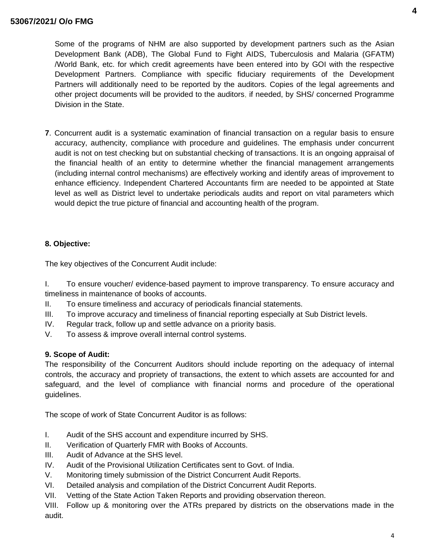Some of the programs of NHM are also supported by development partners such as the Asian Development Bank (ADB), The Global Fund to Fight AIDS, Tuberculosis and Malaria (GFATM) /World Bank, etc. for which credit agreements have been entered into by GOI with the respective Development Partners. Compliance with specific fiduciary requirements of the Development Partners will additionally need to be reported by the auditors. Copies of the legal agreements and other project documents will be provided to the auditors, if needed, by SHS/ concerned Programme Division in the State.

**7**. Concurrent audit is a systematic examination of financial transaction on a regular basis to ensure accuracy, authencity, compliance with procedure and guidelines. The emphasis under concurrent audit is not on test checking but on substantial checking of transactions. It is an ongoing appraisal of the financial health of an entity to determine whether the financial management arrangements (including internal control mechanisms) are effectively working and identify areas of improvement to enhance efficiency. Independent Chartered Accountants firm are needed to be appointed at State level as well as District level to undertake periodicals audits and report on vital parameters which would depict the true picture of financial and accounting health of the program.

# **8. Objective:**

The key objectives of the Concurrent Audit include:

I. To ensure voucher/ evidence-based payment to improve transparency. To ensure accuracy and timeliness in maintenance of books of accounts.

- II. To ensure timeliness and accuracy of periodicals financial statements.
- III. To improve accuracy and timeliness of financial reporting especially at Sub District levels.
- IV. Regular track, follow up and settle advance on a priority basis.
- V. To assess & improve overall internal control systems.

## **9. Scope of Audit:**

The responsibility of the Concurrent Auditors should include reporting on the adequacy of internal controls, the accuracy and propriety of transactions, the extent to which assets are accounted for and safeguard, and the level of compliance with financial norms and procedure of the operational guidelines.

The scope of work of State Concurrent Auditor is as follows:

- I. Audit of the SHS account and expenditure incurred by SHS.
- II. Verification of Quarterly FMR with Books of Accounts.
- III. Audit of Advance at the SHS level.
- IV. Audit of the Provisional Utilization Certificates sent to Govt. of India.
- V. Monitoring timely submission of the District Concurrent Audit Reports.
- VI. Detailed analysis and compilation of the District Concurrent Audit Reports.
- VII. Vetting of the State Action Taken Reports and providing observation thereon.

VIII. Follow up & monitoring over the ATRs prepared by districts on the observations made in the audit.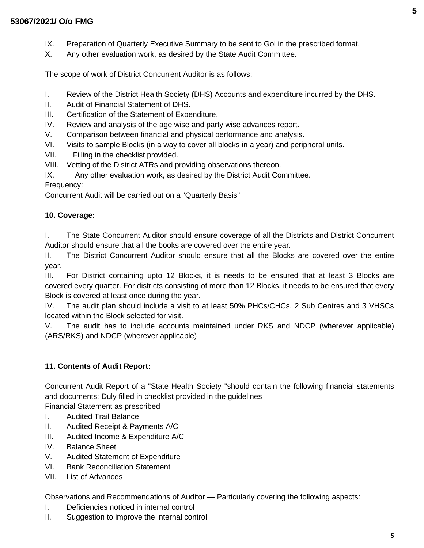- IX. Preparation of Quarterly Executive Summary to be sent to Gol in the prescribed format.
- X. Any other evaluation work, as desired by the State Audit Committee.

The scope of work of District Concurrent Auditor is as follows:

- I. Review of the District Health Society (DHS) Accounts and expenditure incurred by the DHS.
- II. Audit of Financial Statement of DHS.
- III. Certification of the Statement of Expenditure.
- IV. Review and analysis of the age wise and party wise advances report.
- V. Comparison between financial and physical performance and analysis.
- VI. Visits to sample Blocks (in a way to cover all blocks in a year) and peripheral units.
- VII. Filling in the checklist provided.
- VIII. Vetting of the District ATRs and providing observations thereon.
- IX. Any other evaluation work, as desired by the District Audit Committee.

Frequency:

Concurrent Audit will be carried out on a "Quarterly Basis"

#### **10. Coverage:**

I. The State Concurrent Auditor should ensure coverage of all the Districts and District Concurrent Auditor should ensure that all the books are covered over the entire year.

II. The District Concurrent Auditor should ensure that all the Blocks are covered over the entire year.

III. For District containing upto 12 Blocks, it is needs to be ensured that at least 3 Blocks are covered every quarter. For districts consisting of more than 12 Blocks, it needs to be ensured that every Block is covered at least once during the year.

IV. The audit plan should include a visit to at least 50% PHCs/CHCs, 2 Sub Centres and 3 VHSCs located within the Block selected for visit.

V. The audit has to include accounts maintained under RKS and NDCP (wherever applicable) (ARS/RKS) and NDCP (wherever applicable)

#### **11. Contents of Audit Report:**

Concurrent Audit Report of a "State Health Society "should contain the following financial statements and documents: Duly filled in checklist provided in the guidelines

Financial Statement as prescribed

- I. Audited Trail Balance
- II. Audited Receipt & Payments A/C
- III. Audited Income & Expenditure A/C
- IV. Balance Sheet
- V. Audited Statement of Expenditure
- VI. Bank Reconciliation Statement
- VII. List of Advances

Observations and Recommendations of Auditor — Particularly covering the following aspects:

- I. Deficiencies noticed in internal control
- II. Suggestion to improve the internal control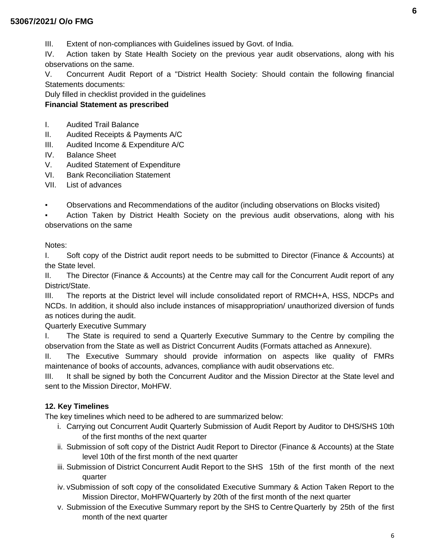# **53067/2021/ O/o FMG**

III. Extent of non-compliances with Guidelines issued by Govt. of India.

IV. Action taken by State Health Society on the previous year audit observations, along with his observations on the same.

V. Concurrent Audit Report of a "District Health Society: Should contain the following financial Statements documents:

Duly filled in checklist provided in the guidelines

# **Financial Statement as prescribed**

- I. Audited Trail Balance
- II. Audited Receipts & Payments A/C
- III. Audited Income & Expenditure A/C
- IV. Balance Sheet
- V. Audited Statement of Expenditure
- VI. Bank Reconciliation Statement
- VII. List of advances

▪ Observations and Recommendations of the auditor (including observations on Blocks visited)

Action Taken by District Health Society on the previous audit observations, along with his observations on the same

Notes:

I. Soft copy of the District audit report needs to be submitted to Director (Finance & Accounts) at the State level.

II. The Director (Finance & Accounts) at the Centre may call for the Concurrent Audit report of any District/State.

III. The reports at the District level will include consolidated report of RMCH+A, HSS, NDCPs and NCDs. In addition, it should also include instances of misappropriation/ unauthorized diversion of funds as notices during the audit.

Quarterly Executive Summary

I. The State is required to send a Quarterly Executive Summary to the Centre by compiling the observation from the State as well as District Concurrent Audits (Formats attached as Annexure).

II. The Executive Summary should provide information on aspects like quality of FMRs maintenance of books of accounts, advances, compliance with audit observations etc.

III. It shall be signed by both the Concurrent Auditor and the Mission Director at the State level and sent to the Mission Director, MoHFW.

## **12. Key Timelines**

The key timelines which need to be adhered to are summarized below:

- i. Carrying out Concurrent Audit Quarterly Submission of Audit Report by Auditor to DHS/SHS 10th of the first months of the next quarter
- ii. Submission of soft copy of the District Audit Report to Director (Finance & Accounts) at the State level 10th of the first month of the next quarter
- iii. Submission of District Concurrent Audit Report to the SHS 15th of the first month of the next quarter
- iv. vSubmission of soft copy of the consolidated Executive Summary & Action Taken Report to the Mission Director, MoHFWQuarterly by 20th of the first month of the next quarter
- v. Submission of the Executive Summary report by the SHS to CentreQuarterly by 25th of the first month of the next quarter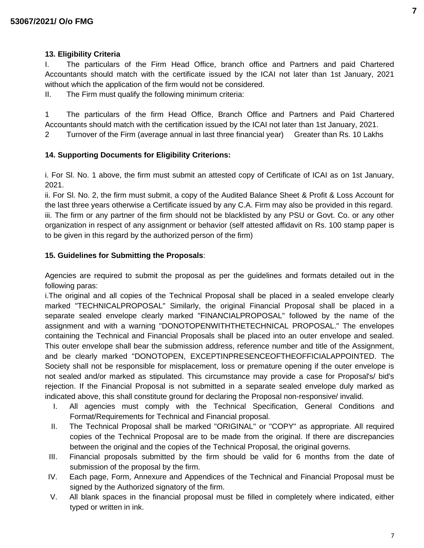## **13. Eligibility Criteria**

I. The particulars of the Firm Head Office, branch office and Partners and paid Chartered Accountants should match with the certificate issued by the ICAI not later than 1st January, 2021 without which the application of the firm would not be considered.

II. The Firm must qualify the following minimum criteria:

1 The particulars of the firm Head Office, Branch Office and Partners and Paid Chartered Accountants should match with the certification issued by the ICAI not later than 1st January, 2021.

2 Turnover of the Firm (average annual in last three financial year) Greater than Rs. 10 Lakhs

## **14. Supporting Documents for Eligibility Criterions:**

i. For Sl. No. 1 above, the firm must submit an attested copy of Certificate of ICAI as on 1st January, 2021.

ii. For Sl. No. 2, the firm must submit, a copy of the Audited Balance Sheet & Profit & Loss Account for the last three years otherwise a Certificate issued by any C.A. Firm may also be provided in this regard. iii. The firm or any partner of the firm should not be blacklisted by any PSU or Govt. Co. or any other organization in respect of any assignment or behavior (self attested affidavit on Rs. 100 stamp paper is to be given in this regard by the authorized person of the firm)

#### **15. Guidelines for Submitting the Proposals**:

Agencies are required to submit the proposal as per the guidelines and formats detailed out in the following paras:

i.The original and all copies of the Technical Proposal shall be placed in a sealed envelope clearly marked "TECHNICALPROPOSAL" Similarly, the original Financial Proposal shall be placed in a separate sealed envelope clearly marked "FINANCIALPROPOSAL" followed by the name of the assignment and with a warning "DONOTOPENWITHTHETECHNICAL PROPOSAL." The envelopes containing the Technical and Financial Proposals shall be placed into an outer envelope and sealed. This outer envelope shall bear the submission address, reference number and title of the Assignment, and be clearly marked "DONOTOPEN, EXCEPTINPRESENCEOFTHEOFFICIALAPPOINTED. The Society shall not be responsible for misplacement, loss or premature opening if the outer envelope is not sealed and/or marked as stipulated. This circumstance may provide a case for Proposal's/ bid's rejection. If the Financial Proposal is not submitted in a separate sealed envelope duly marked as indicated above, this shall constitute ground for declaring the Proposal non-responsive/ invalid.

- I. All agencies must comply with the Technical Specification, General Conditions and Format/Requirements for Technical and Financial proposal.
- II. The Technical Proposal shall be marked "ORIGINAL" or "COPY" as appropriate. All required copies of the Technical Proposal are to be made from the original. If there are discrepancies between the original and the copies of the Technical Proposal, the original governs.
- III. Financial proposals submitted by the firm should be valid for 6 months from the date of submission of the proposal by the firm.
- IV. Each page, Form, Annexure and Appendices of the Technical and Financial Proposal must be signed by the Authorized signatory of the firm.
- V. All blank spaces in the financial proposal must be filled in completely where indicated, either typed or written in ink.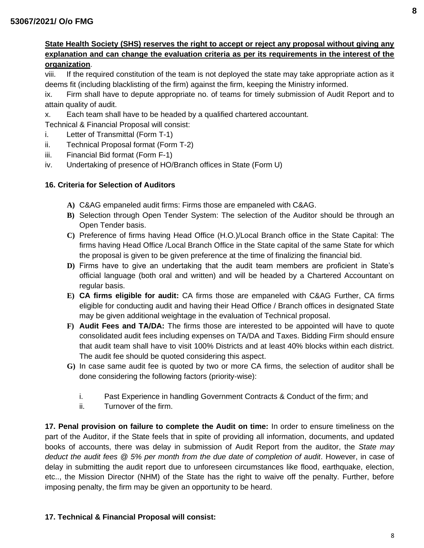## **State Health Society (SHS) reserves the right to accept or reject any proposal without giving any explanation and can change the evaluation criteria as per its requirements in the interest of the organization**.

viii. If the required constitution of the team is not deployed the state may take appropriate action as it deems fit (including blacklisting of the firm) against the firm, keeping the Ministry informed.

ix. Firm shall have to depute appropriate no. of teams for timely submission of Audit Report and to attain quality of audit.

x. Each team shall have to be headed by a qualified chartered accountant.

Technical & Financial Proposal will consist:

- i. Letter of Transmittal (Form T-1)
- ii. Technical Proposal format (Form T-2)
- iii. Financial Bid format (Form F-1)
- iv. Undertaking of presence of HO/Branch offices in State (Form U)

## **16. Criteria for Selection of Auditors**

- **A)** C&AG empaneled audit firms: Firms those are empaneled with C&AG.
- **B)** Selection through Open Tender System: The selection of the Auditor should be through an Open Tender basis.
- **C)** Preference of firms having Head Office (H.O.)/Local Branch office in the State Capital: The firms having Head Office /Local Branch Office in the State capital of the same State for which the proposal is given to be given preference at the time of finalizing the financial bid.
- **D)** Firms have to give an undertaking that the audit team members are proficient in State's official language (both oral and written) and will be headed by a Chartered Accountant on regular basis.
- **E) CA firms eligible for audit:** CA firms those are empaneled with C&AG Further, CA firms eligible for conducting audit and having their Head Office / Branch offices in designated State may be given additional weightage in the evaluation of Technical proposal.
- **F) Audit Fees and TA/DA:** The firms those are interested to be appointed will have to quote consolidated audit fees including expenses on TA/DA and Taxes. Bidding Firm should ensure that audit team shall have to visit 100% Districts and at least 40% blocks within each district. The audit fee should be quoted considering this aspect.
- **G)** In case same audit fee is quoted by two or more CA firms, the selection of auditor shall be done considering the following factors (priority-wise):
	- i. Past Experience in handling Government Contracts & Conduct of the firm; and
	- ii. Turnover of the firm.

**17. Penal provision on failure to complete the Audit on time:** In order to ensure timeliness on the part of the Auditor, if the State feels that in spite of providing all information, documents, and updated books of accounts, there was delay in submission of Audit Report from the auditor, the *State may deduct the audit fees @ 5% per month from the due date of completion of audit*. However, in case of delay in submitting the audit report due to unforeseen circumstances like flood, earthquake, election, etc.., the Mission Director (NHM) of the State has the right to waive off the penalty. Further, before imposing penalty, the firm may be given an opportunity to be heard.

## **17. Technical & Financial Proposal will consist:**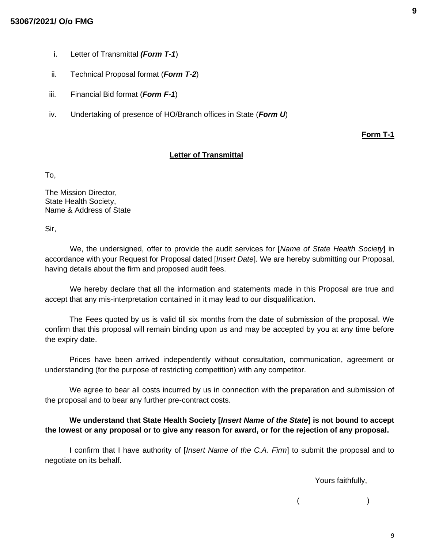#### **53067/2021/ O/o FMG**

- i. Letter of Transmittal *(Form T-1*)
- ii. Technical Proposal format (*Form T-2*)
- iii. Financial Bid format (*Form F-1*)
- iv. Undertaking of presence of HO/Branch offices in State (*Form U*)

**Form T-1**

#### **Letter of Transmittal**

To,

The Mission Director, State Health Society, Name & Address of State

Sir,

We, the undersigned, offer to provide the audit services for [*Name of State Health Society*] in accordance with your Request for Proposal dated [*Insert Date*]. We are hereby submitting our Proposal, having details about the firm and proposed audit fees.

We hereby declare that all the information and statements made in this Proposal are true and accept that any mis-interpretation contained in it may lead to our disqualification.

The Fees quoted by us is valid till six months from the date of submission of the proposal. We confirm that this proposal will remain binding upon us and may be accepted by you at any time before the expiry date.

Prices have been arrived independently without consultation, communication, agreement or understanding (for the purpose of restricting competition) with any competitor.

We agree to bear all costs incurred by us in connection with the preparation and submission of the proposal and to bear any further pre-contract costs.

## **We understand that State Health Society [***Insert Name of the State***] is not bound to accept the lowest or any proposal or to give any reason for award, or for the rejection of any proposal.**

I confirm that I have authority of [*Insert Name of the C.A. Firm*] to submit the proposal and to negotiate on its behalf.

Yours faithfully,

 $($  )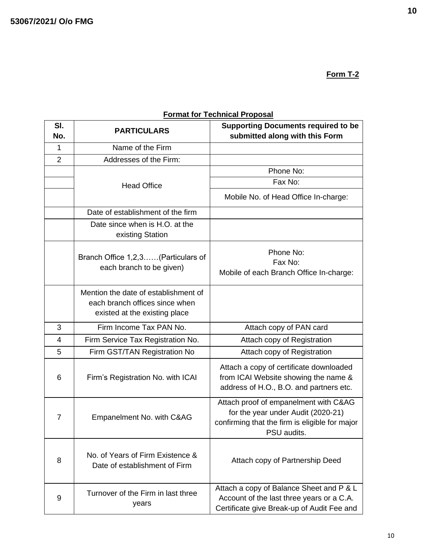**Form T-2**

**Format for Technical Proposal**

| SI.<br>No.     | <b>PARTICULARS</b>                                                                                      | <b>Supporting Documents required to be</b><br>submitted along with this Form                                                                 |
|----------------|---------------------------------------------------------------------------------------------------------|----------------------------------------------------------------------------------------------------------------------------------------------|
| 1              | Name of the Firm                                                                                        |                                                                                                                                              |
| $\overline{2}$ | Addresses of the Firm:                                                                                  |                                                                                                                                              |
|                |                                                                                                         | Phone No:                                                                                                                                    |
|                | <b>Head Office</b>                                                                                      | Fax No:                                                                                                                                      |
|                |                                                                                                         | Mobile No. of Head Office In-charge:                                                                                                         |
|                | Date of establishment of the firm                                                                       |                                                                                                                                              |
|                | Date since when is H.O. at the<br>existing Station                                                      |                                                                                                                                              |
|                | Branch Office 1,2,3(Particulars of<br>each branch to be given)                                          | Phone No:<br>Fax No:<br>Mobile of each Branch Office In-charge:                                                                              |
|                | Mention the date of establishment of<br>each branch offices since when<br>existed at the existing place |                                                                                                                                              |
| 3              | Firm Income Tax PAN No.                                                                                 | Attach copy of PAN card                                                                                                                      |
| 4              | Firm Service Tax Registration No.                                                                       | Attach copy of Registration                                                                                                                  |
| 5              | Firm GST/TAN Registration No                                                                            | Attach copy of Registration                                                                                                                  |
| 6              | Firm's Registration No. with ICAI                                                                       | Attach a copy of certificate downloaded<br>from ICAI Website showing the name &<br>address of H.O., B.O. and partners etc.                   |
| 7              | Empanelment No. with C&AG                                                                               | Attach proof of empanelment with C&AG<br>for the year under Audit (2020-21)<br>confirming that the firm is eligible for major<br>PSU audits. |
| 8              | No. of Years of Firm Existence &<br>Date of establishment of Firm                                       | Attach copy of Partnership Deed                                                                                                              |
| 9              | Turnover of the Firm in last three<br>years                                                             | Attach a copy of Balance Sheet and P & L<br>Account of the last three years or a C.A.<br>Certificate give Break-up of Audit Fee and          |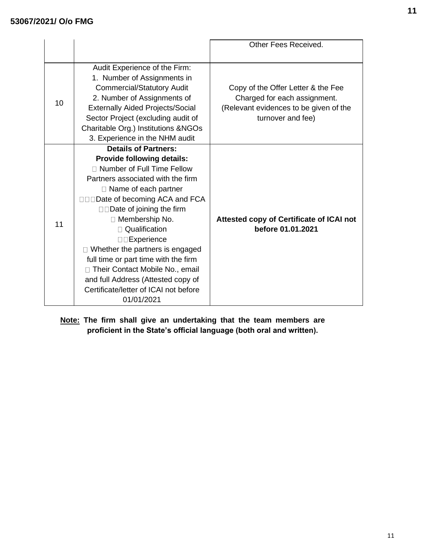|    |                                                                                                                                                                                                                                                                                                                                                                                                                                                                                                                               | Other Fees Received.                                                                                                              |
|----|-------------------------------------------------------------------------------------------------------------------------------------------------------------------------------------------------------------------------------------------------------------------------------------------------------------------------------------------------------------------------------------------------------------------------------------------------------------------------------------------------------------------------------|-----------------------------------------------------------------------------------------------------------------------------------|
| 10 | Audit Experience of the Firm:<br>1. Number of Assignments in<br><b>Commercial/Statutory Audit</b><br>2. Number of Assignments of<br><b>Externally Aided Projects/Social</b><br>Sector Project (excluding audit of<br>Charitable Org.) Institutions & NGOs<br>3. Experience in the NHM audit                                                                                                                                                                                                                                   | Copy of the Offer Letter & the Fee<br>Charged for each assignment.<br>(Relevant evidences to be given of the<br>turnover and fee) |
| 11 | <b>Details of Partners:</b><br><b>Provide following details:</b><br>□ Number of Full Time Fellow<br>Partners associated with the firm<br>$\Box$ Name of each partner<br>□□□Date of becoming ACA and FCA<br>$\square$ Date of joining the firm<br>$\Box$ Membership No.<br>□ Qualification<br>□□Experience<br>$\Box$ Whether the partners is engaged<br>full time or part time with the firm<br>□ Their Contact Mobile No., email<br>and full Address (Attested copy of<br>Certificate/letter of ICAI not before<br>01/01/2021 | Attested copy of Certificate of ICAI not<br>before 01.01.2021                                                                     |

**Note: The firm shall give an undertaking that the team members are proficient in the State's official language (both oral and written).**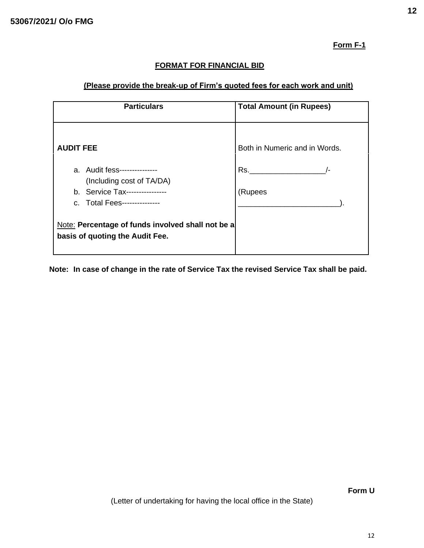**Form F-1**

# **FORMAT FOR FINANCIAL BID**

# **(Please provide the break-up of Firm's quoted fees for each work and unit)**

| <b>Particulars</b>                                                                                                          | <b>Total Amount (in Rupees)</b> |
|-----------------------------------------------------------------------------------------------------------------------------|---------------------------------|
| <b>AUDIT FEE</b>                                                                                                            | Both in Numeric and in Words.   |
| a. Audit fess---------------<br>(Including cost of TA/DA)<br>b. Service Tax----------------<br>c. Total Fees--------------- | Rs.<br>$\sqrt{-}$<br>(Rupees    |
| Note: Percentage of funds involved shall not be a<br>basis of quoting the Audit Fee.                                        |                                 |

**Note: In case of change in the rate of Service Tax the revised Service Tax shall be paid.**

**Form U** 

(Letter of undertaking for having the local office in the State)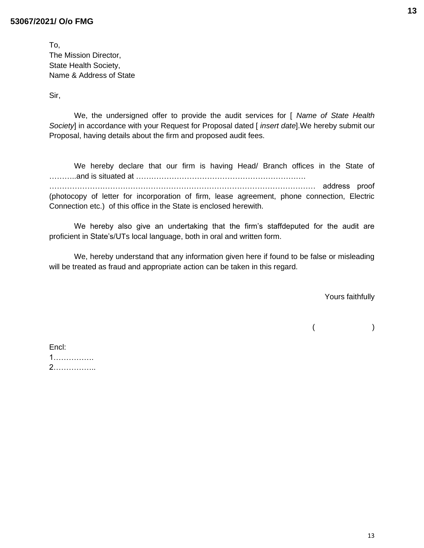#### **53067/2021/ O/o FMG**

| To.                     |
|-------------------------|
| The Mission Director,   |
| State Health Society,   |
| Name & Address of State |

Sir,

We, the undersigned offer to provide the audit services for [ *Name of State Health Society*] in accordance with your Request for Proposal dated [ *insert date*].We hereby submit our Proposal, having details about the firm and proposed audit fees.

We hereby declare that our firm is having Head/ Branch offices in the State of ………..and is situated at …………………………………………………………. …………………………………………………………………………………………… address proof (photocopy of letter for incorporation of firm, lease agreement, phone connection, Electric Connection etc.) of this office in the State is enclosed herewith.

We hereby also give an undertaking that the firm's staffdeputed for the audit are proficient in State's/UTs local language, both in oral and written form.

We, hereby understand that any information given here if found to be false or misleading will be treated as fraud and appropriate action can be taken in this regard.

Yours faithfully

 $($ 

| Encl: |  |  |  |  |
|-------|--|--|--|--|
| 1.    |  |  |  |  |
| 2.    |  |  |  |  |